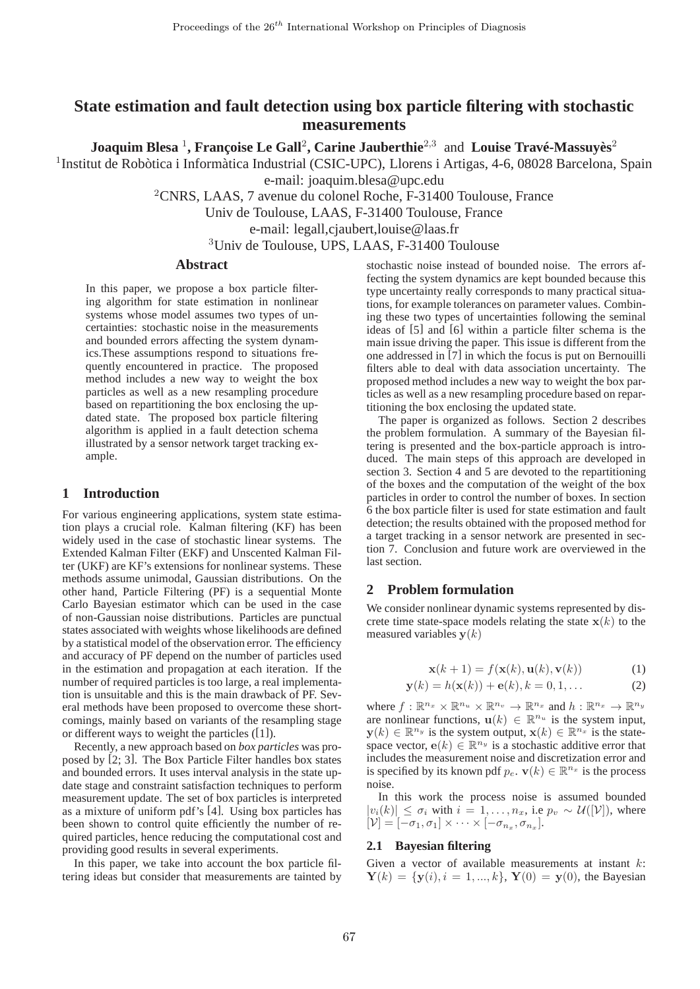# **State estimation and fault detection using box particle filtering with stochastic measurements**

**Joaquim Blesa <sup>1</sup>, Françoise Le Gall<sup>2</sup>, Carine Jauberthie<sup>2,3</sup> and Louise Travé-Massuyès<sup>2</sup>** 

<sup>1</sup> Institut de Robòtica i Informàtica Industrial (CSIC-UPC), Llorens i Artigas, 4-6, 08028 Barcelona, Spain e-mail: joaquim.blesa@upc.edu

<sup>2</sup>CNRS, LAAS, 7 avenue du colonel Roche, F-31400 Toulouse, France

Univ de Toulouse, LAAS, F-31400 Toulouse, France

e-mail: legall,cjaubert,louise@laas.fr

<sup>3</sup>Univ de Toulouse, UPS, LAAS, F-31400 Toulouse

# **Abstract**

In this paper, we propose a box particle filtering algorithm for state estimation in nonlinear systems whose model assumes two types of uncertainties: stochastic noise in the measurements and bounded errors affecting the system dynamics.These assumptions respond to situations frequently encountered in practice. The proposed method includes a new way to weight the box particles as well as a new resampling procedure based on repartitioning the box enclosing the updated state. The proposed box particle filtering algorithm is applied in a fault detection schema illustrated by a sensor network target tracking example.

# **1 Introduction**

For various engineering applications, system state estimation plays a crucial role. Kalman filtering (KF) has been widely used in the case of stochastic linear systems. The Extended Kalman Filter (EKF) and Unscented Kalman Filter (UKF) are KF's extensions for nonlinear systems. These methods assume unimodal, Gaussian distributions. On the other hand, Particle Filtering (PF) is a sequential Monte Carlo Bayesian estimator which can be used in the case of non-Gaussian noise distributions. Particles are punctual states associated with weights whose likelihoods are defined by a statistical model of the observation error. The efficiency and accuracy of PF depend on the number of particles used in the estimation and propagation at each iteration. If the number of required particles is too large, a real implementation is unsuitable and this is the main drawback of PF. Several methods have been proposed to overcome these shortcomings, mainly based on variants of the resampling stage or different ways to weight the particles ([1]).

Recently, a new approach based on *box particles* was proposed by [2; 3]. The Box Particle Filter handles box states and bounded errors. It uses interval analysis in the state update stage and constraint satisfaction techniques to perform measurement update. The set of box particles is interpreted as a mixture of uniform pdf's [4]. Using box particles has been shown to control quite efficiently the number of required particles, hence reducing the computational cost and providing good results in several experiments.

In this paper, we take into account the box particle filtering ideas but consider that measurements are tainted by stochastic noise instead of bounded noise. The errors affecting the system dynamics are kept bounded because this type uncertainty really corresponds to many practical situations, for example tolerances on parameter values. Combining these two types of uncertainties following the seminal ideas of [5] and [6] within a particle filter schema is the main issue driving the paper. This issue is different from the one addressed in [7] in which the focus is put on Bernouilli filters able to deal with data association uncertainty. The proposed method includes a new way to weight the box particles as well as a new resampling procedure based on repartitioning the box enclosing the updated state.

The paper is organized as follows. Section 2 describes the problem formulation. A summary of the Bayesian filtering is presented and the box-particle approach is introduced. The main steps of this approach are developed in section 3. Section 4 and 5 are devoted to the repartitioning of the boxes and the computation of the weight of the box particles in order to control the number of boxes. In section 6 the box particle filter is used for state estimation and fault detection; the results obtained with the proposed method for a target tracking in a sensor network are presented in section 7. Conclusion and future work are overviewed in the last section.

# **2 Problem formulation**

We consider nonlinear dynamic systems represented by discrete time state-space models relating the state  $x(k)$  to the measured variables  $y(k)$ 

$$
\mathbf{x}(k+1) = f(\mathbf{x}(k), \mathbf{u}(k), \mathbf{v}(k))
$$
 (1)

$$
y(k) = h(x(k)) + e(k), k = 0, 1, ...
$$
 (2)

where  $f: \mathbb{R}^{n_x} \times \mathbb{R}^{n_u} \times \mathbb{R}^{n_v} \to \mathbb{R}^{n_x}$  and  $h: \mathbb{R}^{n_x} \to \mathbb{R}^{n_y}$ are nonlinear functions,  $\mathbf{u}(k) \in \mathbb{R}^{n_u}$  is the system input,  $\mathbf{y}(k) \in \mathbb{R}^{n_y}$  is the system output,  $\mathbf{x}(k) \in \mathbb{R}^{n_x}$  is the statespace vector,  $e(k) \in \mathbb{R}^{n_y}$  is a stochastic additive error that includes the measurement noise and discretization error and is specified by its known pdf  $p_e$ .  $\mathbf{v}(k) \in \mathbb{R}^{n_x}$  is the process noise.

In this work the process noise is assumed bounded  $|v_i(k)|$  ≤  $\sigma_i$  with  $i = 1, \ldots, n_x$ , i.e  $p_v \sim \mathcal{U}(|\mathcal{V}|)$ , where  $[\mathcal{V}] = [-\sigma_1, \sigma_1] \times \cdots \times [-\sigma_{n_x}, \sigma_{n_x}].$ 

# **2.1 Bayesian filtering**

Given a vector of available measurements at instant  $k$ :  $Y(k) = {y(i), i = 1, ..., k}, Y(0) = y(0)$ , the Bayesian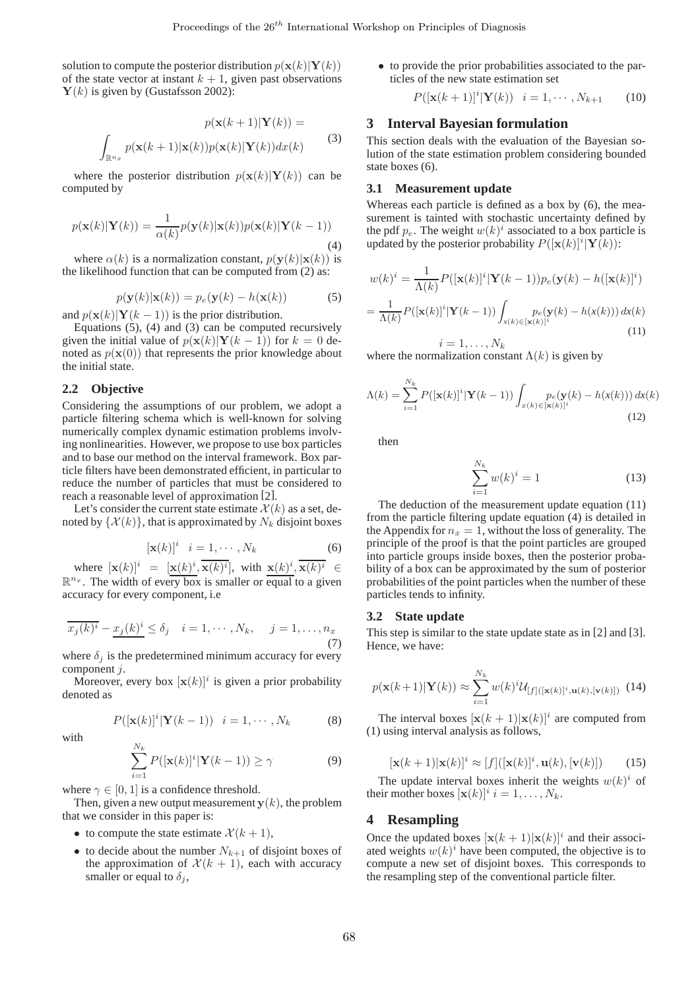solution to compute the posterior distribution  $p(\mathbf{x}(k)|\mathbf{Y}(k))$ of the state vector at instant  $k + 1$ , given past observations  **is given by (Gustafsson 2002):** 

$$
p(\mathbf{x}(k+1)|\mathbf{Y}(k)) =
$$

$$
\int_{\mathbb{R}^{n_x}} p(\mathbf{x}(k+1)|\mathbf{x}(k))p(\mathbf{x}(k)|\mathbf{Y}(k))dx(k)
$$
(3)

where the posterior distribution  $p(\mathbf{x}(k)|\mathbf{Y}(k))$  can be computed by

$$
p(\mathbf{x}(k)|\mathbf{Y}(k)) = \frac{1}{\alpha(k)}p(\mathbf{y}(k)|\mathbf{x}(k))p(\mathbf{x}(k)|\mathbf{Y}(k-1))
$$
\n(4)

where  $\alpha(k)$  is a normalization constant,  $p(\mathbf{y}(k)|\mathbf{x}(k))$  is the likelihood function that can be computed from (2) as:

$$
p(\mathbf{y}(k)|\mathbf{x}(k)) = p_e(\mathbf{y}(k) - h(\mathbf{x}(k))
$$
 (5)

and  $p(\mathbf{x}(k)|\mathbf{Y}(k-1))$  is the prior distribution.

Equations (5), (4) and (3) can be computed recursively given the initial value of  $p(\mathbf{x}(k)|\mathbf{Y}(k-1))$  for  $k = 0$  denoted as  $p(\mathbf{x}(0))$  that represents the prior knowledge about the initial state.

### **2.2 Objective**

Considering the assumptions of our problem, we adopt a particle filtering schema which is well-known for solving numerically complex dynamic estimation problems involving nonlinearities. However, we propose to use box particles and to base our method on the interval framework. Box particle filters have been demonstrated efficient, in particular to reduce the number of particles that must be considered to reach a reasonable level of approximation [2].

Let's consider the current state estimate  $\mathcal{X}(k)$  as a set, denoted by  $\{\mathcal{X}(k)\}\)$ , that is approximated by  $N_k$  disjoint boxes

$$
[\mathbf{x}(k)]^i \quad i = 1, \cdots, N_k \tag{6}
$$

where  $[\mathbf{x}(k)]^i = [\mathbf{x}(k)^i, \mathbf{x}(k)^i]$ , with  $\mathbf{x}(k)^i, \mathbf{x}(k)^i \in$  $\mathbb{R}^{n_x}$ . The width of every box is smaller or equal to a given accuracy for every component, i.e

$$
\overline{x_j(k)^i} - \underline{x_j(k)^i} \le \delta_j \quad i = 1, \cdots, N_k, \quad j = 1, \ldots, n_x
$$
\n(7)

where  $\delta_i$  is the predetermined minimum accuracy for every component j.

Moreover, every box  $[\mathbf{x}(k)]^i$  is given a prior probability denoted as

$$
P([\mathbf{x}(k)]^i|\mathbf{Y}(k-1)) \quad i=1,\cdots,N_k \tag{8}
$$

with

$$
\sum_{i=1}^{N_k} P([\mathbf{x}(k)]^i |\mathbf{Y}(k-1)) \ge \gamma \tag{9}
$$

where  $\gamma \in [0, 1]$  is a confidence threshold.

Then, given a new output measurement  $y(k)$ , the problem that we consider in this paper is:

- to compute the state estimate  $\mathcal{X}(k+1)$ ,
- to decide about the number  $N_{k+1}$  of disjoint boxes of the approximation of  $\mathcal{X}(k + 1)$ , each with accuracy smaller or equal to  $\delta_j$ ,

• to provide the prior probabilities associated to the particles of the new state estimation set

$$
P([\mathbf{x}(k+1)]^{i}|\mathbf{Y}(k)) \quad i = 1, \cdots, N_{k+1} \tag{10}
$$

### **3 Interval Bayesian formulation**

This section deals with the evaluation of the Bayesian solution of the state estimation problem considering bounded state boxes (6).

# **3.1 Measurement update**

Whereas each particle is defined as a box by (6), the measurement is tainted with stochastic uncertainty defined by the pdf  $p_e$ . The weight  $w(k)^i$  associated to a box particle is updated by the posterior probability  $P([\mathbf{x}(k)]^i | \mathbf{Y}(k))$ :

$$
w(k)^{i} = \frac{1}{\Lambda(k)} P([\mathbf{x}(k)]^{i} |\mathbf{Y}(k-1)) p_{e}(\mathbf{y}(k) - h([\mathbf{x}(k)]^{i})
$$

$$
= \frac{1}{\Lambda(k)} P([\mathbf{x}(k)]^{i} |\mathbf{Y}(k-1)) \int_{x(k) \in [\mathbf{x}(k)]^{i}} p_{e}(\mathbf{y}(k) - h(x(k))) dx(k)
$$

$$
i = 1, ..., N_{k}
$$
(11)

where the normalization constant  $\Lambda(k)$  is given by

$$
\Lambda(k) = \sum_{i=1}^{N_k} P([\mathbf{x}(k)]^i |\mathbf{Y}(k-1)) \int_{x(k) \in [\mathbf{x}(k)]^i} p_e(\mathbf{y}(k) - h(x(k))) dx(k)
$$
\n(12)

then

$$
\sum_{i=1}^{N_k} w(k)^i = 1
$$
 (13)

The deduction of the measurement update equation (11) from the particle filtering update equation (4) is detailed in the Appendix for  $n_x = 1$ , without the loss of generality. The principle of the proof is that the point particles are grouped into particle groups inside boxes, then the posterior probability of a box can be approximated by the sum of posterior probabilities of the point particles when the number of these particles tends to infinity.

### **3.2 State update**

This step is similar to the state update state as in [2] and [3]. Hence, we have:

$$
p(\mathbf{x}(k+1)|\mathbf{Y}(k)) \approx \sum_{i=1}^{N_k} w(k)^i \mathcal{U}_{[f]([\mathbf{x}(k)]^i, \mathbf{u}(k), [\mathbf{v}(k)])} \tag{14}
$$

The interval boxes  $[\mathbf{x}(k+1)|\mathbf{x}(k)]^i$  are computed from (1) using interval analysis as follows,

$$
[\mathbf{x}(k+1)|\mathbf{x}(k)]^i \approx [f]([\mathbf{x}(k)]^i, \mathbf{u}(k), [\mathbf{v}(k)]) \qquad (15)
$$

The update interval boxes inherit the weights  $w(k)^i$  of their mother boxes  $[\mathbf{x}(k)]^i$   $i = 1, \dots, N_k$ .

### **4 Resampling**

Once the updated boxes  $[\mathbf{x}(k+1)|\mathbf{x}(k)]^i$  and their associated weights  $w(k)^i$  have been computed, the objective is to compute a new set of disjoint boxes. This corresponds to the resampling step of the conventional particle filter.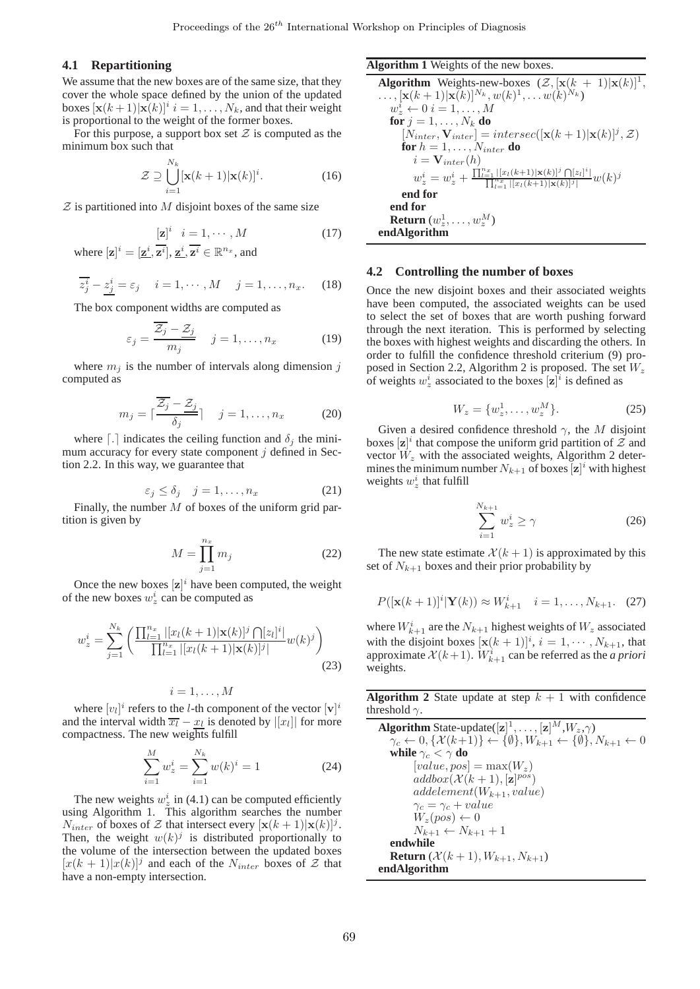### **4.1 Repartitioning**

We assume that the new boxes are of the same size, that they cover the whole space defined by the union of the updated boxes  $[\mathbf{x}(k+1)|\mathbf{x}(k)]^i$   $i = 1, ..., N_k$ , and that their weight is proportional to the weight of the former boxes.

For this purpose, a support box set  $\mathcal Z$  is computed as the minimum box such that

$$
\mathcal{Z} \supseteq \bigcup_{i=1}^{N_k} [\mathbf{x}(k+1)|\mathbf{x}(k)]^i.
$$
 (16)

 $Z$  is partitioned into M disjoint boxes of the same size

$$
[\mathbf{z}]^i \quad i = 1, \cdots, M \tag{17}
$$

where  $[\mathbf{z}]^i = [\mathbf{\underline{z}}^i, \mathbf{\overline{z}}^i], \mathbf{\underline{z}}^i, \mathbf{\overline{z}}^i \in \mathbb{R}^{n_x}$ , and

$$
\overline{z_j^i} - \underline{z_j^i} = \varepsilon_j \quad i = 1, \cdots, M \quad j = 1, \ldots, n_x. \tag{18}
$$

The box component widths are computed as

$$
\varepsilon_j = \frac{\overline{Z_j} - \underline{Z_j}}{m_j} \quad j = 1, \dots, n_x \tag{19}
$$

where  $m_i$  is the number of intervals along dimension j computed as

$$
m_j = \lceil \frac{\overline{Z_j} - \underline{Z_j}}{\delta_j} \rceil \quad j = 1, \dots, n_x \tag{20}
$$

where  $\lceil . \rceil$  indicates the ceiling function and  $\delta_j$  the minimum accuracy for every state component  $j$  defined in Section 2.2. In this way, we guarantee that

$$
\varepsilon_j \le \delta_j \quad j = 1, \dots, n_x \tag{21}
$$

Finally, the number  $M$  of boxes of the uniform grid partition is given by

$$
M = \prod_{j=1}^{n_x} m_j \tag{22}
$$

Once the new boxes  $[\mathbf{z}]^i$  have been computed, the weight of the new boxes  $w_z^i$  can be computed as

$$
w_z^i = \sum_{j=1}^{N_k} \left( \frac{\prod_{l=1}^{n_x} |[x_l(k+1)|\mathbf{x}(k)]^j \bigcap [z_l]^i|}{\prod_{l=1}^{n_x} |[x_l(k+1)|\mathbf{x}(k)]^j|} w(k)^j \right)
$$
(23)

$$
i=1,\ldots,M
$$

where  $[v_l]^i$  refers to the *l*-th component of the vector  $[v]^i$ and the interval width  $\overline{x_l} - \underline{x_l}$  is denoted by  $|[x_l]|$  for more compactness. The new weights fulfill

$$
\sum_{i=1}^{M} w_z^i = \sum_{i=1}^{N_k} w(k)^i = 1
$$
\n(24)

The new weights  $w_z^i$  in (4.1) can be computed efficiently using Algorithm 1. This algorithm searches the number  $N_{inter}$  of boxes of Z that intersect every  $[\mathbf{x}(k+1)|\mathbf{x}(k)]^j$ . Then, the weight  $w(k)^j$  is distributed proportionally to the volume of the intersection between the updated boxes  $[x(k+1)|x(k)]^j$  and each of the  $N_{inter}$  boxes of  $\mathcal{Z}$  that have a non-empty intersection.

#### **Algorithm 1** Weights of the new boxes.

**Algorithm** Weights-new-boxes  $(\mathcal{Z}, [\mathbf{x}(k+1)|\mathbf{x}(k)]^T$ ,  $\ldots, [\mathbf{x}(k+1)|\mathbf{x}(k)]^{N_k}, w(k)^1, \ldots w(k)^{N_k}$  $w_z^i \leftarrow 0 \quad i = 1, \ldots, M$ **for**  $j = 1, \ldots, N_k$  **do**  $[N_{inter}, \mathbf{V}_{inter}] = intersec([\mathbf{x}(k+1)|\mathbf{x}(k)]^j, \mathcal{Z})$ **for**  $h = 1, \ldots, N_{inter}$  **do**  $i = V_{inter}(h)$  $w_z^i = w_z^i + \frac{\prod_{l=1}^{n_x} |[x_l(k+1)| \mathbf{x}(k)]^j \bigcap [z_l]^i|}{\prod_{l=1}^{n_x} |[x_l(k+1)| \mathbf{x}(k)]^j|} w(k)^j$ **end for end for Return**  $(w_ z^1, \ldots, w_ z^M)$ **endAlgorithm**

#### **4.2 Controlling the number of boxes**

Once the new disjoint boxes and their associated weights have been computed, the associated weights can be used to select the set of boxes that are worth pushing forward through the next iteration. This is performed by selecting the boxes with highest weights and discarding the others. In order to fulfill the confidence threshold criterium (9) proposed in Section 2.2, Algorithm 2 is proposed. The set  $W_z$ of weights  $w_z^i$  associated to the boxes  $[\mathbf{z}]^i$  is defined as

$$
W_z = \{w_z^1, \dots, w_z^M\}.
$$
 (25)

Given a desired confidence threshold  $\gamma$ , the M disjoint boxes  $[\mathbf{z}]^i$  that compose the uniform grid partition of  $\tilde{z}$  and vector  $W_z$  with the associated weights, Algorithm 2 determines the minimum number  $N_{k+1}$  of boxes  $[\mathbf{z}]^i$  with highest weights  $w_z^i$  that fulfill

$$
\sum_{i=1}^{N_{k+1}} w_z^i \ge \gamma \tag{26}
$$

The new state estimate  $\mathcal{X}(k+1)$  is approximated by this set of  $N_{k+1}$  boxes and their prior probability by

$$
P([\mathbf{x}(k+1)]^{i}|\mathbf{Y}(k)) \approx W_{k+1}^{i} \quad i = 1, ..., N_{k+1}.
$$
 (27)

where  $W_{k+1}^i$  are the  $N_{k+1}$  highest weights of  $W_z$  associated with the disjoint boxes  $[\mathbf{x}(k+1)]^i$ ,  $i = 1, \dots, N_{k+1}$ , that approximate  $\mathcal{X}(k+1)$ .  $W_{k+1}^i$  can be referred as the *a priori* weights.

**Algorithm 2** State update at step  $k + 1$  with confidence threshold  $\gamma$ .

**Algorithm** State-update( $[\mathbf{z}]^1, \ldots, [\mathbf{z}]^M, W_z, \gamma$ )  $\gamma_c \leftarrow 0, \{ \mathcal{X}(k+1) \} \leftarrow \{ \emptyset \}, W_{k+1} \leftarrow \{ \emptyset \}, N_{k+1} \leftarrow 0$ **while**  $\gamma_c < \gamma$  **do**  $[value, pos] = max(W_z)$  $addbox(\mathcal{X}(k+1), [\mathbf{z}]^{pos})$  $addelement(W_{k+1}, value)$  $\gamma_c = \gamma_c + value$  $W_z(pos) \leftarrow 0$  $N_{k+1} \leftarrow N_{k+1} + 1$ **endwhile Return** ( $\mathcal{X}(k+1), W_{k+1}, N_{k+1}$ ) **endAlgorithm**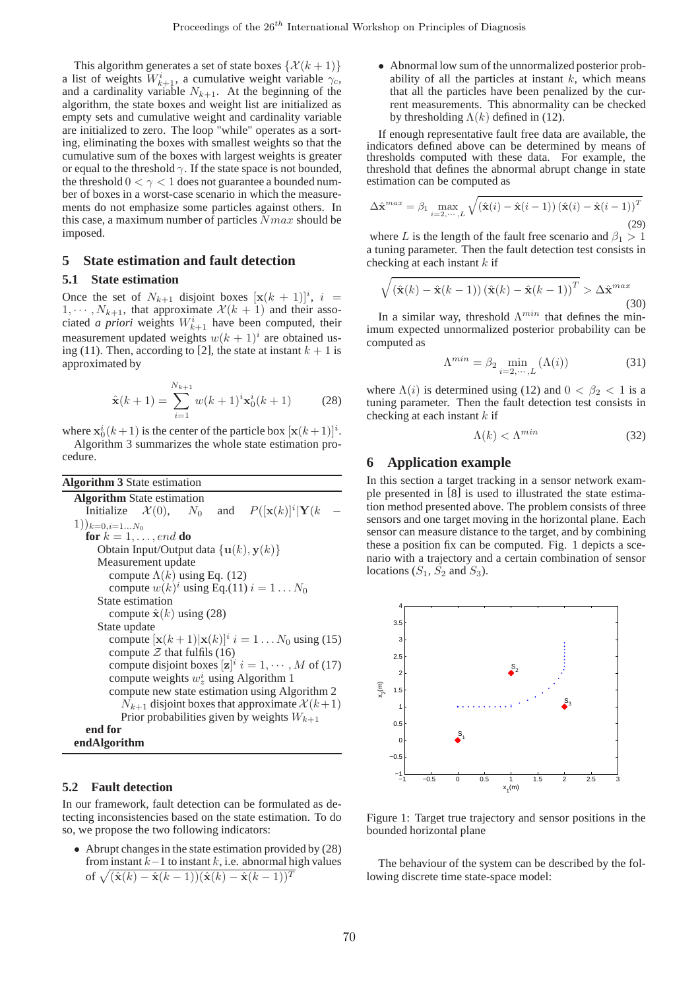This algorithm generates a set of state boxes  $\{\mathcal{X}(k+1)\}$ a list of weights  $W_{k+1}^i$ , a cumulative weight variable  $\gamma_c$ , and a cardinality variable  $N_{k+1}$ . At the beginning of the algorithm, the state boxes and weight list are initialized as empty sets and cumulative weight and cardinality variable are initialized to zero. The loop "while" operates as a sorting, eliminating the boxes with smallest weights so that the cumulative sum of the boxes with largest weights is greater or equal to the threshold  $\gamma$ . If the state space is not bounded, the threshold  $0 < \gamma < 1$  does not guarantee a bounded number of boxes in a worst-case scenario in which the measurements do not emphasize some particles against others. In this case, a maximum number of particles  $Nmax$  should be imposed.

# **5 State estimation and fault detection**

# **5.1 State estimation**

Once the set of  $N_{k+1}$  disjoint boxes  $[\mathbf{x}(k+1)]^i$ ,  $i =$  $1, \dots, N_{k+1}$ , that approximate  $\mathcal{X}(k+1)$  and their associated *a priori* weights  $W_{k+1}^i$  have been computed, their measurement updated weights  $w(k + 1)^i$  are obtained using (11). Then, according to [2], the state at instant  $k + 1$  is approximated by

$$
\hat{\mathbf{x}}(k+1) = \sum_{i=1}^{N_{k+1}} w(k+1)^i \mathbf{x}_0^i(k+1) \tag{28}
$$

where  $\mathbf{x}_0^i(k+1)$  is the center of the particle box  $[\mathbf{x}(k+1)]^i$ . Algorithm 3 summarizes the whole state estimation procedure.

| <b>Algorithm 3</b> State estimation                                         |
|-----------------------------------------------------------------------------|
| <b>Algorithm</b> State estimation                                           |
| Initialize $\mathcal{X}(0)$ , $N_0$ and $P([\mathbf{x}(k)]^i \mathbf{Y}(k)$ |
| $(1))_{k=0,i=1N_0}$                                                         |
| for $k = 1, \ldots, end$ do                                                 |
| Obtain Input/Output data $\{u(k), y(k)\}\$                                  |
| Measurement update                                                          |
| compute $\Lambda(k)$ using Eq. (12)                                         |
| compute $w(k)^i$ using Eq.(11) $i = 1N_0$                                   |
| State estimation                                                            |
| compute $\hat{\mathbf{x}}(k)$ using (28)                                    |
| State update                                                                |
| compute $[\mathbf{x}(k+1) \mathbf{x}(k)]^i$ $i = 1N_0$ using (15)           |
| compute $\mathcal Z$ that fulfils (16)                                      |
| compute disjoint boxes $[\mathbf{z}]^i$ $i = 1, \dots, M$ of (17)           |
| compute weights $w^i$ , using Algorithm 1                                   |
| compute new state estimation using Algorithm 2                              |
| $N_{k+1}$ disjoint boxes that approximate $\mathcal{X}(k+1)$                |
| Prior probabilities given by weights $W_{k+1}$                              |
| end for                                                                     |
| endAlgorithm                                                                |

#### **5.2 Fault detection**

In our framework, fault detection can be formulated as detecting inconsistencies based on the state estimation. To do so, we propose the two following indicators:

• Abrupt changes in the state estimation provided by  $(28)$ from instant  $k-1$  to instant  $k$ , i.e. abnormal high values of  $\sqrt{(\hat{\mathbf{x}}(k) - \hat{\mathbf{x}}(k-1))(\hat{\mathbf{x}}(k) - \hat{\mathbf{x}}(k-1))^T}$ 

• Abnormal low sum of the unnormalized posterior probability of all the particles at instant  $k$ , which means that all the particles have been penalized by the current measurements. This abnormality can be checked by thresholding  $\Lambda(k)$  defined in (12).

If enough representative fault free data are available, the indicators defined above can be determined by means of thresholds computed with these data. For example, the threshold that defines the abnormal abrupt change in state estimation can be computed as

$$
\Delta \hat{\mathbf{x}}^{max} = \beta_1 \max_{i=2,\cdots,L} \sqrt{\left(\hat{\mathbf{x}}(i) - \hat{\mathbf{x}}(i-1)\right) \left(\hat{\mathbf{x}}(i) - \hat{\mathbf{x}}(i-1)\right)^T}
$$
\n(29)

where L is the length of the fault free scenario and  $\beta_1 > 1$ a tuning parameter. Then the fault detection test consists in checking at each instant  $k$  if

$$
\sqrt{\left(\hat{\mathbf{x}}(k) - \hat{\mathbf{x}}(k-1)\right)\left(\hat{\mathbf{x}}(k) - \hat{\mathbf{x}}(k-1)\right)^{T}} > \Delta \hat{\mathbf{x}}^{max}
$$
\n(30)

In a similar way, threshold  $\Lambda^{min}$  that defines the minimum expected unnormalized posterior probability can be computed as

$$
\Lambda^{min} = \beta_2 \min_{i=2,\cdots,L} (\Lambda(i)) \tag{31}
$$

where  $\Lambda(i)$  is determined using (12) and  $0 < \beta_2 < 1$  is a tuning parameter. Then the fault detection test consists in checking at each instant  $k$  if

$$
\Lambda(k) < \Lambda^{min} \tag{32}
$$

# **6 Application example**

In this section a target tracking in a sensor network example presented in [8] is used to illustrated the state estimation method presented above. The problem consists of three sensors and one target moving in the horizontal plane. Each sensor can measure distance to the target, and by combining these a position fix can be computed. Fig. 1 depicts a scenario with a trajectory and a certain combination of sensor locations  $(S_1, \dot{S_2}$  and  $S_3)$ .



Figure 1: Target true trajectory and sensor positions in the bounded horizontal plane

The behaviour of the system can be described by the following discrete time state-space model: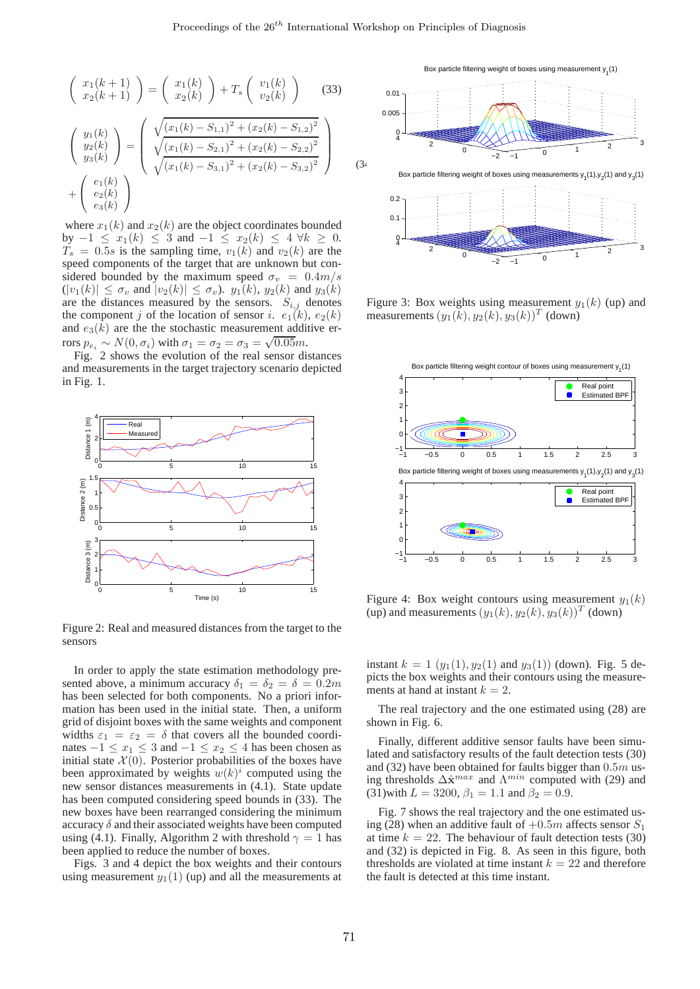$$
\begin{pmatrix}\nx_1(k+1) \\
x_2(k+1)\n\end{pmatrix} = \begin{pmatrix}\nx_1(k) \\
x_2(k)\n\end{pmatrix} + T_s \begin{pmatrix}\nv_1(k) \\
v_2(k)\n\end{pmatrix}
$$
\n(33)\n
$$
\begin{pmatrix}\ny_1(k) \\
y_2(k) \\
y_3(k)\n\end{pmatrix} = \begin{pmatrix}\n\sqrt{(x_1(k) - S_{1,1})^2 + (x_2(k) - S_{1,2})^2} \\
\sqrt{(x_1(k) - S_{2,1})^2 + (x_2(k) - S_{2,2})^2} \\
\sqrt{(x_1(k) - S_{3,1})^2 + (x_2(k) - S_{3,2})^2}\n\end{pmatrix} + \begin{pmatrix}\ne_1(k) \\
e_2(k) \\
e_3(k)\n\end{pmatrix}
$$

where  $x_1(k)$  and  $x_2(k)$  are the object coordinates bounded by  $-1 \leq x_1(k) \leq 3$  and  $-1 \leq x_2(k) \leq 4 \forall k \geq 0$ .  $T_s = 0.5s$  is the sampling time,  $v_1(k)$  and  $v_2(k)$  are the speed components of the target that are unknown but considered bounded by the maximum speed  $\sigma_v = 0.4m/s$  $(|v_1(k)| \leq \sigma_v$  and  $|v_2(k)| \leq \sigma_v$ ).  $y_1(k)$ ,  $y_2(k)$  and  $y_3(k)$ are the distances measured by the sensors.  $S_{i,j}$  denotes the component j of the location of sensor i.  $e_1(k)$ ,  $e_2(k)$ and  $e_3(k)$  are the stochastic measurement additive errors  $p_{e_i} \sim N(0, \sigma_i)$  with  $\sigma_1 = \sigma_2 = \sigma_3 = \sqrt{0.05}m$ .

Fig. 2 shows the evolution of the real sensor distances and measurements in the target trajectory scenario depicted in Fig. 1.



Figure 2: Real and measured distances from the target to the sensors

In order to apply the state estimation methodology presented above, a minimum accuracy  $\delta_1 = \delta_2 = \delta = 0.2m$ has been selected for both components. No a priori information has been used in the initial state. Then, a uniform grid of disjoint boxes with the same weights and component widths  $\varepsilon_1 = \varepsilon_2 = \delta$  that covers all the bounded coordinates  $-1 \le x_1 \le 3$  and  $-1 \le x_2 \le 4$  has been chosen as initial state  $\mathcal{X}(0)$ . Posterior probabilities of the boxes have been approximated by weights  $w(k)^i$  computed using the new sensor distances measurements in (4.1). State update has been computed considering speed bounds in (33). The new boxes have been rearranged considering the minimum accuracy  $\delta$  and their associated weights have been computed using (4.1). Finally, Algorithm 2 with threshold  $\gamma = 1$  has been applied to reduce the number of boxes.

Figs. 3 and 4 depict the box weights and their contours using measurement  $y_1(1)$  (up) and all the measurements at



Figure 3: Box weights using measurement  $y_1(k)$  (up) and measurements  $(y_1(k), y_2(k), y_3(k))^T$  (down)



Figure 4: Box weight contours using measurement  $y_1(k)$ (up) and measurements  $(y_1(k), y_2(k), y_3(k))^T$  (down)

instant  $k = 1$   $(y_1(1), y_2(1)$  and  $y_3(1)$  (down). Fig. 5 depicts the box weights and their contours using the measurements at hand at instant  $k = 2$ .

The real trajectory and the one estimated using (28) are shown in Fig. 6.

Finally, different additive sensor faults have been simulated and satisfactory results of the fault detection tests (30) and (32) have been obtained for faults bigger than  $0.5m$  using thresholds  $\Delta \hat{\mathbf{x}}^{max}$  and  $\Lambda^{min}$  computed with (29) and (31)with  $L = 3200$ ,  $\beta_1 = 1.1$  and  $\beta_2 = 0.9$ .

Fig. 7 shows the real trajectory and the one estimated using (28) when an additive fault of  $+0.5m$  affects sensor  $S_1$ at time  $k = 22$ . The behaviour of fault detection tests (30) and (32) is depicted in Fig. 8. As seen in this figure, both thresholds are violated at time instant  $k = 22$  and therefore the fault is detected at this time instant.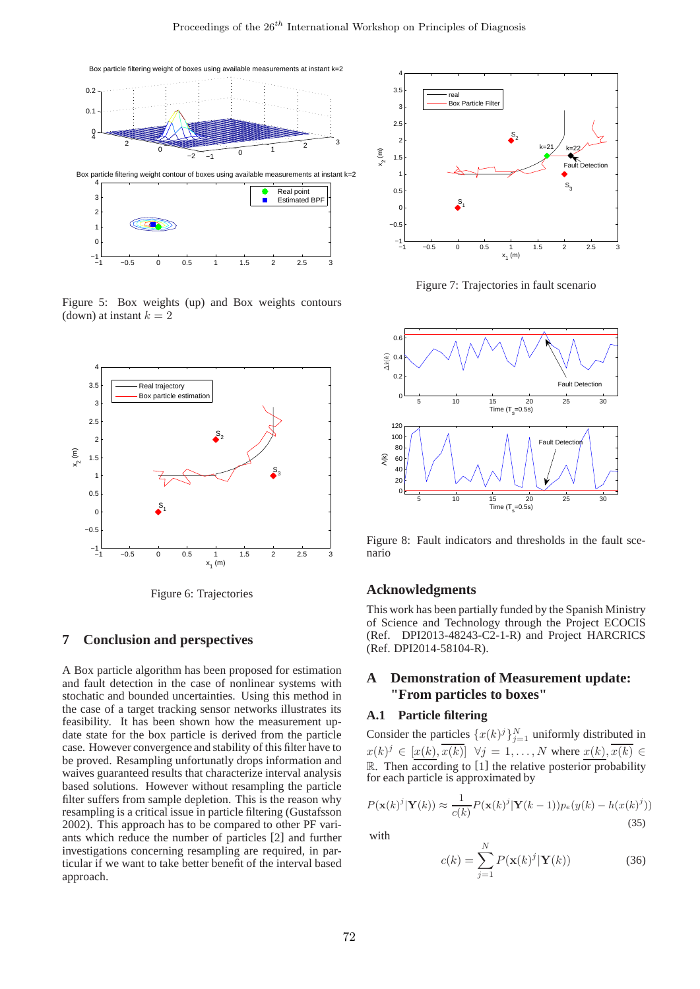

Figure 5: Box weights (up) and Box weights contours (down) at instant  $k = 2$ 



Figure 6: Trajectories

# **7 Conclusion and perspectives**

A Box particle algorithm has been proposed for estimation and fault detection in the case of nonlinear systems with stochatic and bounded uncertainties. Using this method in the case of a target tracking sensor networks illustrates its feasibility. It has been shown how the measurement update state for the box particle is derived from the particle case. However convergence and stability of this filter have to be proved. Resampling unfortunatly drops information and waives guaranteed results that characterize interval analysis based solutions. However without resampling the particle filter suffers from sample depletion. This is the reason why resampling is a critical issue in particle filtering (Gustafsson 2002). This approach has to be compared to other PF variants which reduce the number of particles [2] and further investigations concerning resampling are required, in particular if we want to take better benefit of the interval based approach.



Figure 7: Trajectories in fault scenario



Figure 8: Fault indicators and thresholds in the fault scenario

# **Acknowledgments**

This work has been partially funded by the Spanish Ministry of Science and Technology through the Project ECOCIS (Ref. DPI2013-48243-C2-1-R) and Project HARCRICS (Ref. DPI2014-58104-R).

# **A Demonstration of Measurement update: "From particles to boxes"**

# **A.1 Particle filtering**

Consider the particles  $\{x(k)^j\}_{j=1}^N$  uniformly distributed in  $x(k)^j \in [\underline{x(k)}, \overline{x(k)}] \quad \forall j = 1, \dots, N$  where  $\underline{x(k)}, \overline{x(k)} \in$  $\mathbb{R}$ . Then according to [1] the relative posterior probability for each particle is approximated by

$$
P(\mathbf{x}(k)^j|\mathbf{Y}(k)) \approx \frac{1}{c(k)} P(\mathbf{x}(k)^j|\mathbf{Y}(k-1))p_e(y(k) - h(x(k)^j))
$$
\n(35)

with

$$
c(k) = \sum_{j=1}^{N} P(\mathbf{x}(k)^{j} | \mathbf{Y}(k))
$$
 (36)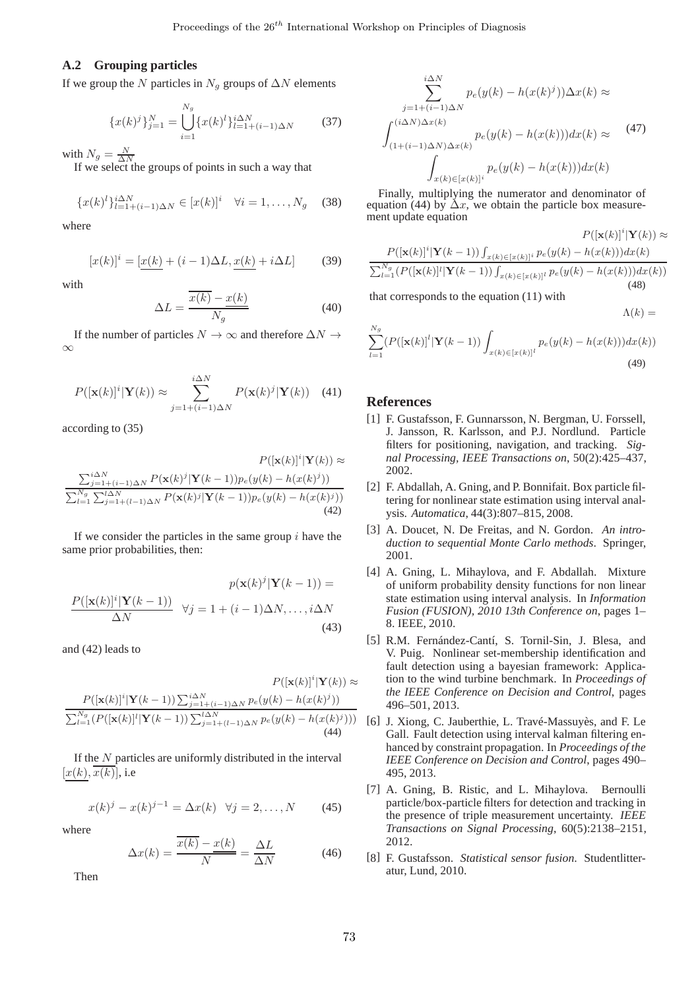$\ddot{\phantom{0}}$ 

# **A.2 Grouping particles**

If we group the N particles in  $N_q$  groups of  $\Delta N$  elements

$$
\{x(k)^j\}_{j=1}^N = \bigcup_{i=1}^{N_g} \{x(k)^l\}_{l=1+(i-1)\Delta N}^{i\Delta N} \tag{37}
$$

with  $N_g = \frac{N}{\Delta N}$ <br>If we select the groups of points in such a way that

$$
\{x(k)^{l}\}_{l=1+(i-1)\Delta N}^{i\Delta N} \in [x(k)]^{i} \quad \forall i = 1, \dots, N_g \quad (38)
$$

where

$$
[x(k)]^i = \underbrace{[x(k)} + (i-1)\Delta L, \underbrace{x(k)} + i\Delta L]
$$
 (39)

with

$$
\Delta L = \frac{\overline{x(k)} - \underline{x(k)}}{N_g} \tag{40}
$$

If the number of particles  $N \to \infty$  and therefore  $\Delta N \to$ ∞

$$
P([\mathbf{x}(k)]^{i}|\mathbf{Y}(k)) \approx \sum_{j=1+(i-1)\Delta N}^{i\Delta N} P(\mathbf{x}(k)^{j}|\mathbf{Y}(k)) \quad (41)
$$

according to (35)

$$
P([\mathbf{x}(k)]^i | \mathbf{Y}(k)) \approx
$$
  
\n
$$
\frac{\sum_{j=1+(i-1)\Delta N}^{i\Delta N} P(\mathbf{x}(k)^j | \mathbf{Y}(k-1)) p_e(y(k) - h(x(k)^j))}{\sum_{l=1}^{N_g} \sum_{j=1+(l-1)\Delta N}^{l\Delta N} P(\mathbf{x}(k)^j | \mathbf{Y}(k-1)) p_e(y(k) - h(x(k)^j))}
$$
  
\n(42)

If we consider the particles in the same group  $i$  have the same prior probabilities, then:

$$
p(\mathbf{x}(k)^j|\mathbf{Y}(k-1)) =
$$

$$
\frac{P([\mathbf{x}(k)]^i|\mathbf{Y}(k-1))}{\Delta N} \quad \forall j = 1 + (i-1)\Delta N, \dots, i\Delta N
$$
(43)

and (42) leads to

$$
P([\mathbf{x}(k)]^i |\mathbf{Y}(k-1)) \sum_{j=1+(i-1)\Delta N}^{i\Delta N} p_e(y(k) - h(x(k)^j))
$$

$$
\frac{\sum_{l=1}^{N_g} (P([\mathbf{x}(k)]^l |\mathbf{Y}(k-1)) \sum_{j=1+(l-1)\Delta N}^{l\Delta N} p_e(y(k) - h(x(k)^j)))}{\sum_{l=1+(l-1)\Delta N}^{N_g} p_e(y(k) - h(x(k)^j)))}
$$
(44)

If the  $N$  particles are uniformly distributed in the interval  $[x(k), x(k)]$ , i.e

$$
x(k)^{j} - x(k)^{j-1} = \Delta x(k) \quad \forall j = 2, ..., N \quad (45)
$$

where

$$
\Delta x(k) = \frac{\overline{x(k)} - x(k)}{N} = \frac{\Delta L}{\Delta N}
$$
(46)

Then

$$
\sum_{j=1+(i-1)\Delta N}^{i\Delta N} p_e(y(k) - h(x(k)^j))\Delta x(k) \approx
$$
  

$$
\int_{(1+(i-1)\Delta N)\Delta x(k)}^{(i\Delta N)\Delta x(k)} p_e(y(k) - h(x(k)))dx(k) \approx
$$
  

$$
\int_{x(k)\in [x(k)]^i} p_e(y(k) - h(x(k)))dx(k)
$$
 (47)

Finally, multiplying the numerator and denominator of equation (44) by  $\Delta x$ , we obtain the particle box measurement update equation

$$
P([\mathbf{x}(k)]^i |\mathbf{Y}(k-1)) \int_{x(k) \in [x(k)]^i} P(\mathbf{x}(k))^i |\mathbf{Y}(k)) \approx
$$

$$
\frac{P([\mathbf{x}(k)]^i |\mathbf{Y}(k-1)) \int_{x(k) \in [x(k)]^i} p_e(y(k) - h(x(k))) dx(k)}{\sum_{l=1}^{N_g} (P([\mathbf{x}(k)]^l |\mathbf{Y}(k-1)) \int_{x(k) \in [x(k)]^l} p_e(y(k) - h(x(k))) dx(k))}
$$
(48)

P([x(k)]<sup>i</sup>

 $\Lambda(k) =$ 

that corresponds to the equation (11) with

$$
\sum_{l=1}^{N_g} (P([\mathbf{x}(k)]^l | \mathbf{Y}(k-1)) \int_{x(k) \in [x(k)]^l} p_e(y(k) - h(x(k))) dx(k)) \tag{49}
$$

### **References**

- [1] F. Gustafsson, F. Gunnarsson, N. Bergman, U. Forssell, J. Jansson, R. Karlsson, and P.J. Nordlund. Particle filters for positioning, navigation, and tracking. *Signal Processing, IEEE Transactions on*, 50(2):425–437, 2002.
- [2] F. Abdallah, A. Gning, and P. Bonnifait. Box particle filtering for nonlinear state estimation using interval analysis. *Automatica*, 44(3):807–815, 2008.
- [3] A. Doucet, N. De Freitas, and N. Gordon. *An introduction to sequential Monte Carlo methods*. Springer, 2001.
- [4] A. Gning, L. Mihaylova, and F. Abdallah. Mixture of uniform probability density functions for non linear state estimation using interval analysis. In *Information Fusion (FUSION), 2010 13th Conference on*, pages 1– 8. IEEE, 2010.
- [5] R.M. Fernández-Cantí, S. Tornil-Sin, J. Blesa, and V. Puig. Nonlinear set-membership identification and fault detection using a bayesian framework: Application to the wind turbine benchmark. In *Proceedings of the IEEE Conference on Decision and Control*, pages 496–501, 2013.
- [6] J. Xiong, C. Jauberthie, L. Travé-Massuyès, and F. Le Gall. Fault detection using interval kalman filtering enhanced by constraint propagation. In *Proceedings of the IEEE Conference on Decision and Control*, pages 490– 495, 2013.
- [7] A. Gning, B. Ristic, and L. Mihaylova. Bernoulli particle/box-particle filters for detection and tracking in the presence of triple measurement uncertainty. *IEEE Transactions on Signal Processing*, 60(5):2138–2151, 2012.
- [8] F. Gustafsson. *Statistical sensor fusion*. Studentlitteratur, Lund, 2010.